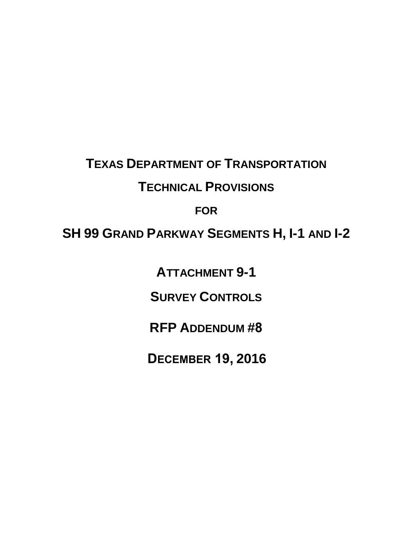# **TEXAS DEPARTMENT OF TRANSPORTATION TECHNICAL PROVISIONS**

### **FOR**

## **SH 99 GRAND PARKWAY SEGMENTS H, I-1 AND I-2**

**ATTACHMENT 9-1** 

**SURVEY CONTROLS**

**RFP ADDENDUM #8**

**DECEMBER 19, 2016**